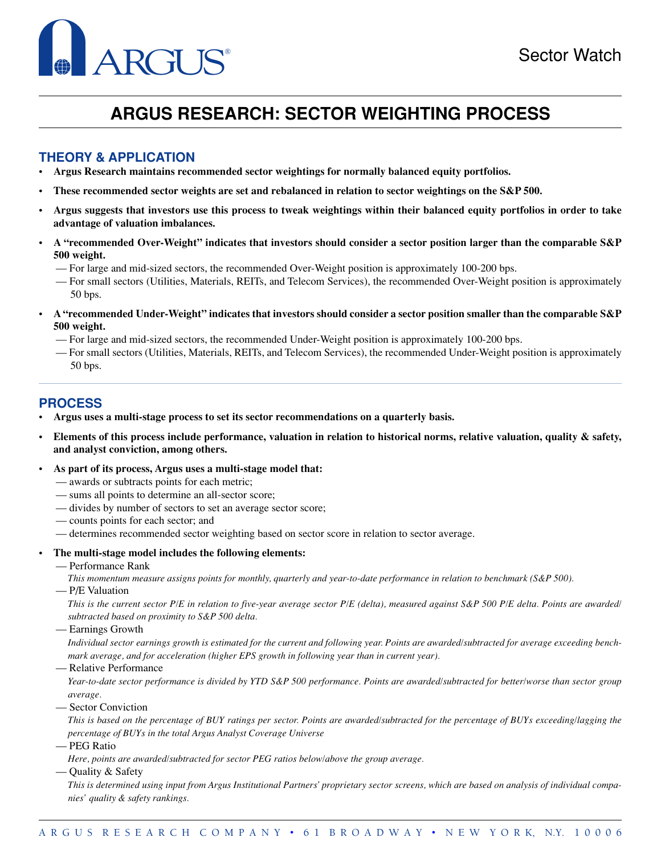### Sector Watch

# ARGUS ®

## **ARGUS RESEARCH: SECTOR WEIGHTING PROCESS**

#### **THEORY & APPLICATION**

- **Argus Research maintains recommended sector weightings for normally balanced equity portfolios.**
- **These recommended sector weights are set and rebalanced in relation to sector weightings on the S&P 500.**
- **Argus suggests that investors use this process to tweak weightings within their balanced equity portfolios in order to take advantage of valuation imbalances.**
- **A "recommended Over-Weight" indicates that investors should consider a sector position larger than the comparable S&P 500 weight.**
	- For large and mid-sized sectors, the recommended Over-Weight position is approximately 100-200 bps.
	- For small sectors (Utilities, Materials, REITs, and Telecom Services), the recommended Over-Weight position is approximately 50 bps.
- **A "recommended Under-Weight" indicates that investors should consider a sector position smaller than the comparable S&P 500 weight.**
	- For large and mid-sized sectors, the recommended Under-Weight position is approximately 100-200 bps.
	- For small sectors (Utilities, Materials, REITs, and Telecom Services), the recommended Under-Weight position is approximately 50 bps.

#### **PROCESS**

- **Argus uses a multi-stage process to set its sector recommendations on a quarterly basis.**
- **Elements of this process include performance, valuation in relation to historical norms, relative valuation, quality & safety, and analyst conviction, among others.**
- **As part of its process, Argus uses a multi-stage model that:**
	- awards or subtracts points for each metric;
	- sums all points to determine an all-sector score;
	- divides by number of sectors to set an average sector score;
	- counts points for each sector; and
	- determines recommended sector weighting based on sector score in relation to sector average.
	- **The multi-stage model includes the following elements:**
		- Performance Rank
			- *This momentum measure assigns points for monthly, quarterly and year-to-date performance in relation to benchmark (S&P 500).*
		- P/E Valuation

*This is the current sector P/E in relation to five-year average sector P/E (delta), measured against S&P 500 P/E delta. Points are awarded/ subtracted based on proximity to S&P 500 delta.*

— Earnings Growth

*Individual sector earnings growth is estimated for the current and following year. Points are awarded/subtracted for average exceeding benchmark average, and for acceleration (higher EPS growth in following year than in current year).*

— Relative Performance

*Year-to-date sector performance is divided by YTD S&P 500 performance. Points are awarded/subtracted for better/worse than sector group average.*

— Sector Conviction

*This is based on the percentage of BUY ratings per sector. Points are awarded/subtracted for the percentage of BUYs exceeding/lagging the percentage of BUYs in the total Argus Analyst Coverage Universe*

- PEG Ratio
- *Here, points are awarded/subtracted for sector PEG ratios below/above the group average.*
- Quality & Safety

*This is determined using input from Argus Institutional Partners' proprietary sector screens, which are based on analysis of individual companies' quality & safety rankings.*